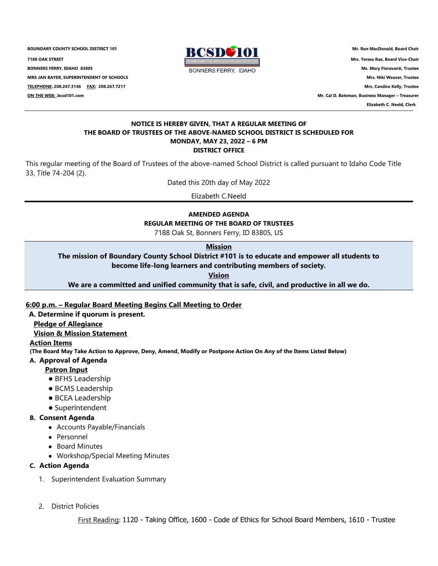**BOUNDARY COUNTY SCHOOL DISTRICT 101 Mr. Ron MacDonald, Board Chair**<br>**BCSDC3101** Mr. Ron MacDonald, Board Chair **7188 OAK STREET Mrs. Teresa Rae, Board Vice-Chair BONNERS FERRY, IDAHO 83805 Ms. Mary Fioravanti, Trustee MRS JAN BAYER, SUPERINTENDENT OF SCHOOLS Mrs. Niki Weaver, Trustee TELEPHONE: 208.267.3146 FAX: 208.267.7217 Mrs. Candice Kelly, Trustee ON THE WEB: .bcsd101.com Mr. Cal D. Bateman, Business Manager – Treasurer**



 **Elizabeth C. Neeld, Clerk**

#### **NOTICE IS HEREBY GIVEN, THAT A REGULAR MEETING OF THE BOARD OF TRUSTEES OF THE ABOVE-NAMED SCHOOL DISTRICT IS SCHEDULED FOR MONDAY, MAY 23, 2022 – 6 PM DISTRICT OFFICE**

This regular meeting of the Board of Trustees of the above-named School District is called pursuant to Idaho Code Title 33, Title 74-204 (2).

Dated this 20th day of May 2022

Elizabeth C.Neeld

# **AMENDED AGENDA**

**REGULAR MEETING OF THE BOARD OF TRUSTEES**

7188 Oak St, Bonners Ferry, ID 83805, US

# **Mission**

**The mission of Boundary County School District #101 is to educate and empower all students to become life-long learners and contributing members of society.**

**Vision**

**We are a committed and unified community that is safe, civil, and productive in all we do.**

## **6:00 p.m. – Regular Board Meeting Begins Call Meeting to Order**

# **A. Determine if quorum is present.**

# **Pledge of Allegiance**

## **Vision & Mission Statement**

## **Action Items**

**(The Board May Take Action to Approve, Deny, Amend, Modify or Postpone Action On Any of the Items Listed Below)**

## **A. Approval of Agenda**

## **Patron Input**

- BFHS Leadership
- BCMS Leadership
- BCEA Leadership
- Superintendent

# **B. Consent Agenda**

- Accounts Payable/Financials
- Personnel
- Board Minutes
- Workshop/Special Meeting Minutes

# **C. Action Agenda**

- 1. Superintendent Evaluation Summary
- 2. District Policies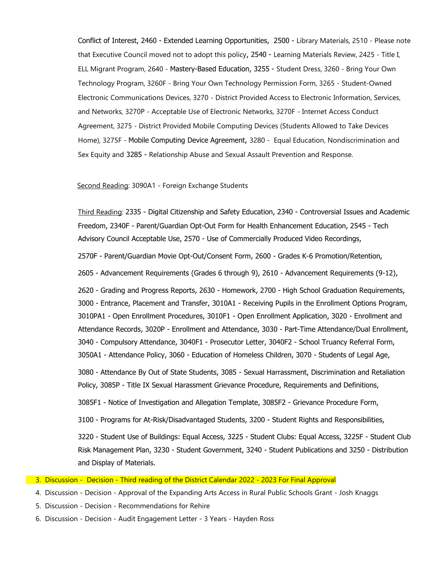Conflict of Interest, 2460 - Extended Learning Opportunities, 2500 - Library Materials, 2510 - Please note that Executive Council moved not to adopt this policy, 2540 - Learning Materials Review, 2425 - Title I, ELL Migrant Program, 2640 - Mastery-Based Education, 3255 - Student Dress, 3260 - Bring Your Own Technology Program, 3260F - Bring Your Own Technology Permission Form, 3265 - Student-Owned Electronic Communications Devices, 3270 - District Provided Access to Electronic Information, Services, and Networks, 3270P - Acceptable Use of Electronic Networks, 3270F - Internet Access Conduct Agreement, 3275 - District Provided Mobile Computing Devices (Students Allowed to Take Devices Home), 3275F - Mobile Computing Device Agreement, 3280 - Equal Education, Nondiscrimination and Sex Equity and 3285 - Relationship Abuse and Sexual Assault Prevention and Response.

#### Second Reading: 3090A1 - Foreign Exchange Students

Third Reading: 2335 - Digital Citizenship and Safety Education, 2340 - Controversial Issues and Academic Freedom, 2340F - Parent/Guardian Opt-Out Form for Health Enhancement Education, 2545 - Tech Advisory Council Acceptable Use, 2570 - Use of Commercially Produced Video Recordings,

2570F - Parent/Guardian Movie Opt-Out/Consent Form, 2600 - Grades K-6 Promotion/Retention,

2605 - Advancement Requirements (Grades 6 through 9), 2610 - Advancement Requirements (9-12),

2620 - Grading and Progress Reports, 2630 - Homework, 2700 - High School Graduation Requirements, 3000 - Entrance, Placement and Transfer, 3010A1 - Receiving Pupils in the Enrollment Options Program, 3010PA1 - Open Enrollment Procedures, 3010F1 - Open Enrollment Application, 3020 - Enrollment and Attendance Records, 3020P - Enrollment and Attendance, 3030 - Part-Time Attendance/Dual Enrollment, 3040 - Compulsory Attendance, 3040F1 - Prosecutor Letter, 3040F2 - School Truancy Referral Form, 3050A1 - Attendance Policy, 3060 - Education of Homeless Children, 3070 - Students of Legal Age,

3080 - Attendance By Out of State Students, 3085 - Sexual Harrassment, Discrimination and Retaliation Policy, 3085P - Title IX Sexual Harassment Grievance Procedure, Requirements and Definitions,

3085F1 - Notice of Investigation and Allegation Template, 3085F2 - Grievance Procedure Form,

3100 - Programs for At-Risk/Disadvantaged Students, 3200 - Student Rights and Responsibilities,

3220 - Student Use of Buildings: Equal Access, 3225 - Student Clubs: Equal Access, 3225F - Student Club Risk Management Plan, 3230 - Student Government, 3240 - Student Publications and 3250 - Distribution and Display of Materials.

- 3. Discussion Decision Third reading of the District Calendar 2022 2023 For Final Approval
- 4. Discussion Decision Approval of the Expanding Arts Access in Rural Public Schools Grant Josh Knaggs
- 5. Discussion Decision Recommendations for Rehire
- 6. Discussion Decision Audit Engagement Letter 3 Years Hayden Ross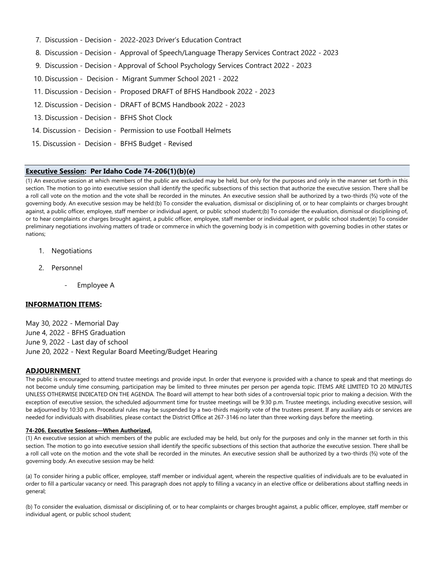- 7. Discussion Decision 2022-2023 Driver's Education Contract
- 8. Discussion Decision Approval of Speech/Language Therapy Services Contract 2022 2023
- 9. Discussion Decision Approval of School Psychology Services Contract 2022 2023
- 10. Discussion Decision Migrant Summer School 2021 2022
- 11. Discussion Decision Proposed DRAFT of BFHS Handbook 2022 2023
- 12. Discussion Decision DRAFT of BCMS Handbook 2022 2023
- 13. Discussion Decision BFHS Shot Clock
- 14. Discussion Decision Permission to use Football Helmets
- 15. Discussion Decision BFHS Budget Revised

#### **Executive Session: Per Idaho Code 74-206(1)(b)(e)**

(1) An executive session at which members of the public are excluded may be held, but only for the purposes and only in the manner set forth in this section. The motion to go into executive session shall identify the specific subsections of this section that authorize the executive session. There shall be a roll call vote on the motion and the vote shall be recorded in the minutes. An executive session shall be authorized by a two-thirds (⅔) vote of the governing body. An executive session may be held:(b) To consider the evaluation, dismissal or disciplining of, or to hear complaints or charges brought against, a public officer, employee, staff member or individual agent, or public school student;(b) To consider the evaluation, dismissal or disciplining of, or to hear complaints or charges brought against, a public officer, employee, staff member or individual agent, or public school student;(e) To consider preliminary negotiations involving matters of trade or commerce in which the governing body is in competition with governing bodies in other states or nations;

- 1. Negotiations
- 2. Personnel
	- Employee A

## **INFORMATION ITEMS:**

May 30, 2022 - Memorial Day June 4, 2022 - BFHS Graduation June 9, 2022 - Last day of school June 20, 2022 - Next Regular Board Meeting/Budget Hearing

#### **ADJOURNMENT**

The public is encouraged to attend trustee meetings and provide input. In order that everyone is provided with a chance to speak and that meetings do not become unduly time consuming, participation may be limited to three minutes per person per agenda topic. ITEMS ARE LIMITED TO 20 MINUTES UNLESS OTHERWISE INDICATED ON THE AGENDA. The Board will attempt to hear both sides of a controversial topic prior to making a decision. With the exception of executive session, the scheduled adjournment time for trustee meetings will be 9:30 p.m. Trustee meetings, including executive session, will be adjourned by 10:30 p.m. Procedural rules may be suspended by a two-thirds majority vote of the trustees present. If any auxiliary aids or services are needed for individuals with disabilities, please contact the District Office at 267-3146 no later than three working days before the meeting.

#### **74-206. Executive Sessions—When Authorized.**

(1) An executive session at which members of the public are excluded may be held, but only for the purposes and only in the manner set forth in this section. The motion to go into executive session shall identify the specific subsections of this section that authorize the executive session. There shall be a roll call vote on the motion and the vote shall be recorded in the minutes. An executive session shall be authorized by a two-thirds (⅔) vote of the governing body. An executive session may be held:

(a) To consider hiring a public officer, employee, staff member or individual agent, wherein the respective qualities of individuals are to be evaluated in order to fill a particular vacancy or need. This paragraph does not apply to filling a vacancy in an elective office or deliberations about staffing needs in general;

(b) To consider the evaluation, dismissal or disciplining of, or to hear complaints or charges brought against, a public officer, employee, staff member or individual agent, or public school student;